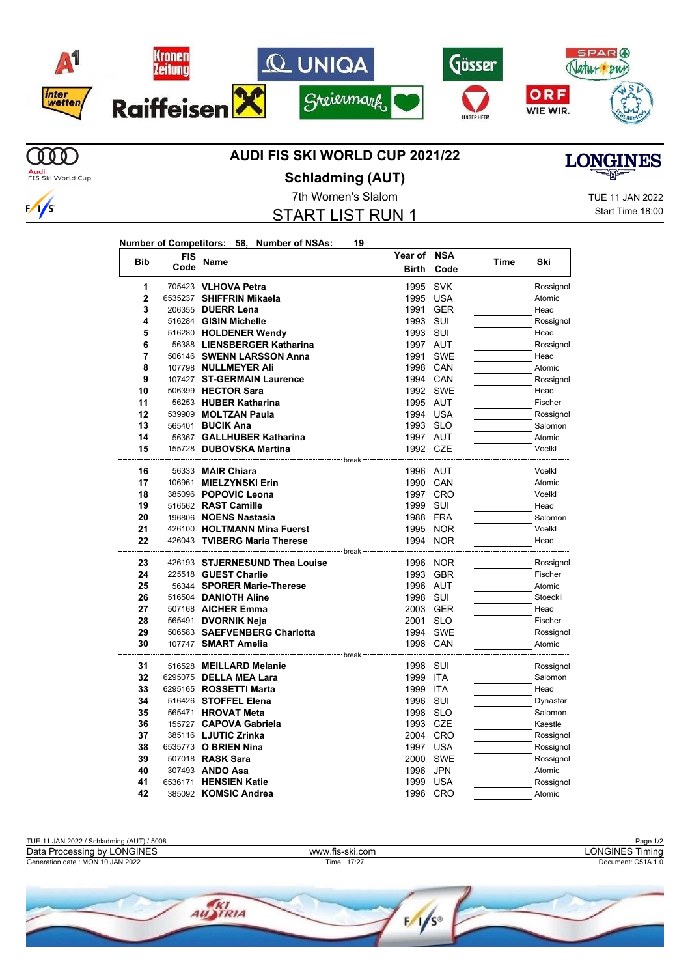

## **AUDI FIS SKI WORLD CUP 2021/22**



7th Women's Slalom TUE 11 JAN 2022 **Schladming (AUT)**

START LIST RUN 1

**Year of NSA**

**Birth Code**

**Time Ski**

**Number of Competitors: 58, Number of NSAs: 19**

**Code Name**

**Bib FIS**

Start Time 18:00

**LONGINES** 

| 1              | 705423 VLHOVA Petra            | 1995 SVK                  |          | Rossignol |
|----------------|--------------------------------|---------------------------|----------|-----------|
| $\overline{2}$ | 6535237 SHIFFRIN Mikaela       | 1995 USA                  |          | Atomic    |
| 3              | 206355 DUERR Lena              |                           | 1991 GER | Head      |
| 4              | 516284 GISIN Michelle          | 1993 SUI                  |          | Rossignol |
| 5              | 516280 HOLDENER Wendy          | 1993 SUI                  |          | Head      |
| 6              | 56388 LIENSBERGER Katharina    | 1997 AUT                  |          | Rossignol |
| 7              | 506146 SWENN LARSSON Anna      |                           | 1991 SWE | Head      |
| 8              | 107798 NULLMEYER Ali           |                           | 1998 CAN | Atomic    |
| 9              | 107427 ST-GERMAIN Laurence     |                           | 1994 CAN | Rossignol |
| 10             | 506399 HECTOR Sara             |                           | 1992 SWE | Head      |
| 11             | 56253 HUBER Katharina          | 1995 AUT                  |          | Fischer   |
| 12             | 539909 MOLTZAN Paula           |                           | 1994 USA | Rossignol |
| 13             | 565401 <b>BUCIK Ana</b>        | 1993 SLO                  |          | Salomon   |
| 14             | 56367 GALLHUBER Katharina      | 1997 AUT                  |          | Atomic    |
| 15             | 155728 DUBOVSKA Martina        | 1992 CZE                  |          | Voelkl    |
|                |                                |                           |          |           |
| 16             | 56333 <b>MAIR Chiara</b>       | 1996 AUT                  |          | Voelkl    |
| 17             | 106961 MIELZYNSKI Erin         |                           | 1990 CAN | Atomic    |
| 18             | 385096 POPOVIC Leona           |                           | 1997 CRO | Voelkl    |
| 19             | 516562 RAST Camille            | 1999 SUI                  |          | Head      |
| 20             | 196806 NOENS Nastasia          |                           | 1988 FRA | Salomon   |
| 21             | 426100 HOLTMANN Mina Fuerst    |                           | 1995 NOR | Voelkl    |
| 22             | 426043 TVIBERG Maria Therese   |                           | 1994 NOR | Head      |
|                |                                | ------------------------- |          |           |
| 23             | 426193 STJERNESUND Thea Louise |                           | 1996 NOR | Rossignol |
| 24             | 225518 GUEST Charlie           |                           | 1993 GBR | Fischer   |
| 25             | 56344 SPORER Marie-Therese     | 1996 AUT                  |          | Atomic    |
| 26             | 516504 DANIOTH Aline           | 1998 SUI                  |          | Stoeckli  |
| 27             | 507168 AICHER Emma             |                           | 2003 GER | Head      |
| 28             | 565491 DVORNIK Neja            | 2001 SLO                  |          | Fischer   |
| 29             | 506583 SAEFVENBERG Charlotta   |                           | 1994 SWE | Rossignol |
| 30             | 107747 SMART Amelia            | 1998 CAN                  |          | Atomic    |
|                |                                | ------- break             |          |           |
| 31             | 516528 MEILLARD Melanie        | 1998 SUI                  |          | Rossignol |
| 32             | 6295075 DELLA MEA Lara         | 1999 ITA                  |          | Salomon   |
| 33             | 6295165 ROSSETTI Marta         | 1999 ITA                  |          | Head      |
| 34             | 516426 STOFFEL Elena           | 1996 SUI                  |          | Dynastar  |
| 35             | 565471 HROVAT Meta             | 1998 SLO                  |          | Salomon   |
| 36             | 155727 CAPOVA Gabriela         | 1993 CZE                  |          | Kaestle   |
| 37             | 385116 LJUTIC Zrinka           |                           | 2004 CRO | Rossignol |
| 38             | 6535773 O BRIEN Nina           |                           | 1997 USA | Rossignol |
| 39             | 507018 RASK Sara               |                           | 2000 SWE | Rossignol |
| 40             | 307493 ANDO Asa                | 1996                      | JPN      | Atomic    |
| 41             | 6536171 HENSIEN Katie          | 1999                      | USA      | Rossignol |
| 42             | 385092 KOMSIC Andrea           |                           | 1996 CRO | Atomic    |
|                |                                |                           |          |           |